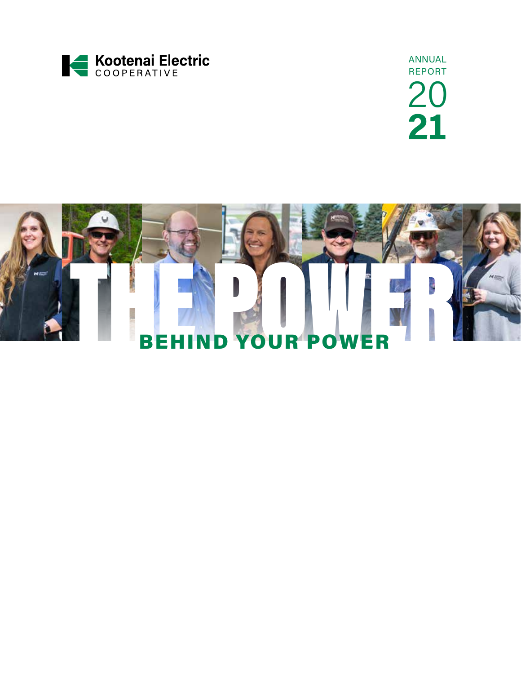

ANNUAL REPORT 20 **21**

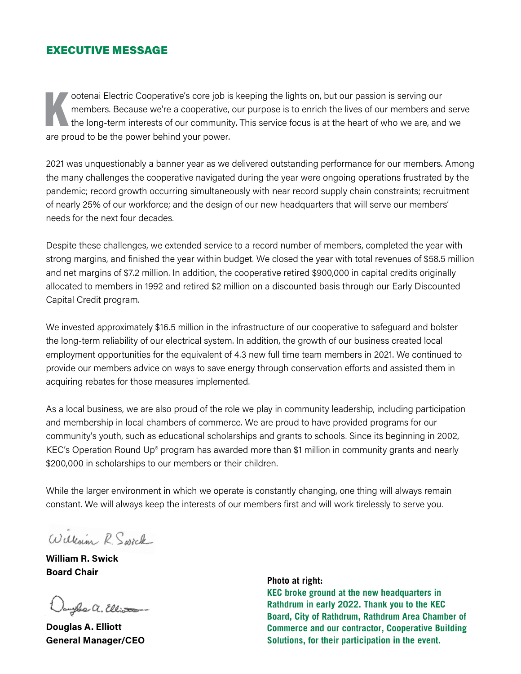## EXECUTIVE MESSAGE

ootenai Electric Cooperative's core job is keeping the lights on, but our passion is serving our members. Because we're a cooperative, our purpose is to enrich the lives of our members and the long-term interests of our co members. Because we're a cooperative, our purpose is to enrich the lives of our members and serve the long-term interests of our community. This service focus is at the heart of who we are, and we are proud to be the power behind your power.

2021 was unquestionably a banner year as we delivered outstanding performance for our members. Among the many challenges the cooperative navigated during the year were ongoing operations frustrated by the pandemic; record growth occurring simultaneously with near record supply chain constraints; recruitment of nearly 25% of our workforce; and the design of our new headquarters that will serve our members' needs for the next four decades.

Despite these challenges, we extended service to a record number of members, completed the year with strong margins, and finished the year within budget. We closed the year with total revenues of \$58.5 million and net margins of \$7.2 million. In addition, the cooperative retired \$900,000 in capital credits originally allocated to members in 1992 and retired \$2 million on a discounted basis through our Early Discounted Capital Credit program.

We invested approximately \$16.5 million in the infrastructure of our cooperative to safeguard and bolster the long-term reliability of our electrical system. In addition, the growth of our business created local employment opportunities for the equivalent of 4.3 new full time team members in 2021. We continued to provide our members advice on ways to save energy through conservation efforts and assisted them in acquiring rebates for those measures implemented.

As a local business, we are also proud of the role we play in community leadership, including participation and membership in local chambers of commerce. We are proud to have provided programs for our community's youth, such as educational scholarships and grants to schools. Since its beginning in 2002, KEC's Operation Round Up® program has awarded more than \$1 million in community grants and nearly \$200,000 in scholarships to our members or their children.

While the larger environment in which we operate is constantly changing, one thing will always remain constant. We will always keep the interests of our members first and will work tirelessly to serve you.

William R. Swick

**William R. Swick Board Chair**

aughs a. Elliot

**Douglas A. Elliott General Manager/CEO** 

**Photo at right:** 

**KEC broke ground at the new headquarters in Rathdrum in early 2022. Thank you to the KEC Board, City of Rathdrum, Rathdrum Area Chamber of Commerce and our contractor, Cooperative Building Solutions, for their participation in the event.**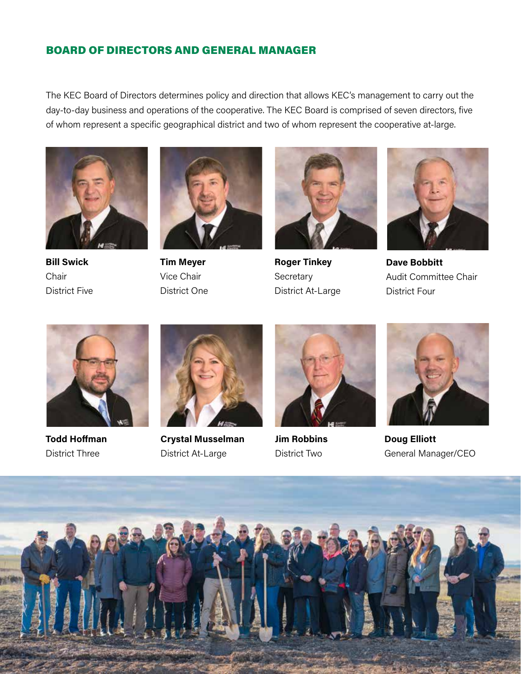# BOARD OF DIRECTORS AND GENERAL MANAGER

The KEC Board of Directors determines policy and direction that allows KEC's management to carry out the day-to-day business and operations of the cooperative. The KEC Board is comprised of seven directors, five of whom represent a specific geographical district and two of whom represent the cooperative at-large.



**Bill Swick** Chair District Five



**Tim Meyer** Vice Chair District One



**Roger Tinkey Secretary** District At-Large



**Dave Bobbitt** Audit Committee Chair District Four



**Todd Hoffman** District Three



**Crystal Musselman** District At-Large



**Jim Robbins** District Two



**Doug Elliott** General Manager/CEO

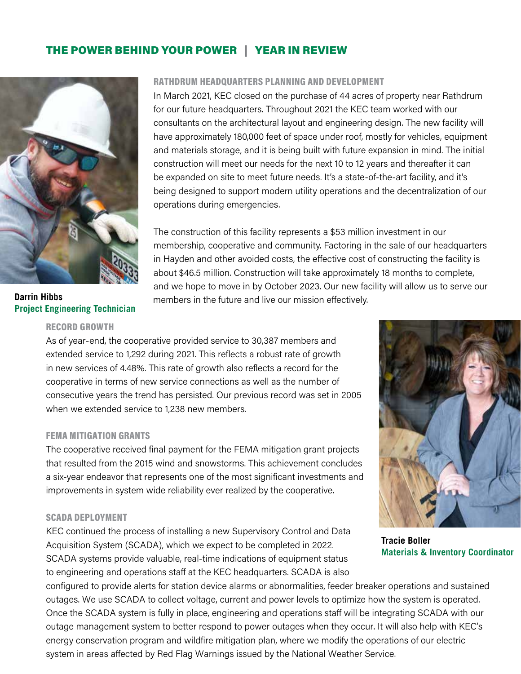# THE POWER BEHIND YOUR POWER | YEAR IN REVIEW



**Darrin Hibbs Project Engineering Technician**

## RECORD GROWTH

#### RATHDRUM HEADQUARTERS PLANNING AND DEVELOPMENT

In March 2021, KEC closed on the purchase of 44 acres of property near Rathdrum for our future headquarters. Throughout 2021 the KEC team worked with our consultants on the architectural layout and engineering design. The new facility will have approximately 180,000 feet of space under roof, mostly for vehicles, equipment and materials storage, and it is being built with future expansion in mind. The initial construction will meet our needs for the next 10 to 12 years and thereafter it can be expanded on site to meet future needs. It's a state-of-the-art facility, and it's being designed to support modern utility operations and the decentralization of our operations during emergencies.

The construction of this facility represents a \$53 million investment in our membership, cooperative and community. Factoring in the sale of our headquarters in Hayden and other avoided costs, the effective cost of constructing the facility is about \$46.5 million. Construction will take approximately 18 months to complete, and we hope to move in by October 2023. Our new facility will allow us to serve our members in the future and live our mission effectively.

As of year-end, the cooperative provided service to 30,387 members and extended service to 1,292 during 2021. This reflects a robust rate of growth in new services of 4.48%. This rate of growth also reflects a record for the cooperative in terms of new service connections as well as the number of consecutive years the trend has persisted. Our previous record was set in 2005 when we extended service to 1,238 new members.

#### FEMA MITIGATION GRANTS

The cooperative received final payment for the FEMA mitigation grant projects that resulted from the 2015 wind and snowstorms. This achievement concludes a six-year endeavor that represents one of the most significant investments and improvements in system wide reliability ever realized by the cooperative.

#### SCADA DEPLOYMENT

KEC continued the process of installing a new Supervisory Control and Data Acquisition System (SCADA), which we expect to be completed in 2022. SCADA systems provide valuable, real-time indications of equipment status to engineering and operations staff at the KEC headquarters. SCADA is also

**Tracie Boller Materials & Inventory Coordinator**

configured to provide alerts for station device alarms or abnormalities, feeder breaker operations and sustained outages. We use SCADA to collect voltage, current and power levels to optimize how the system is operated. Once the SCADA system is fully in place, engineering and operations staff will be integrating SCADA with our outage management system to better respond to power outages when they occur. It will also help with KEC's energy conservation program and wildfire mitigation plan, where we modify the operations of our electric system in areas affected by Red Flag Warnings issued by the National Weather Service.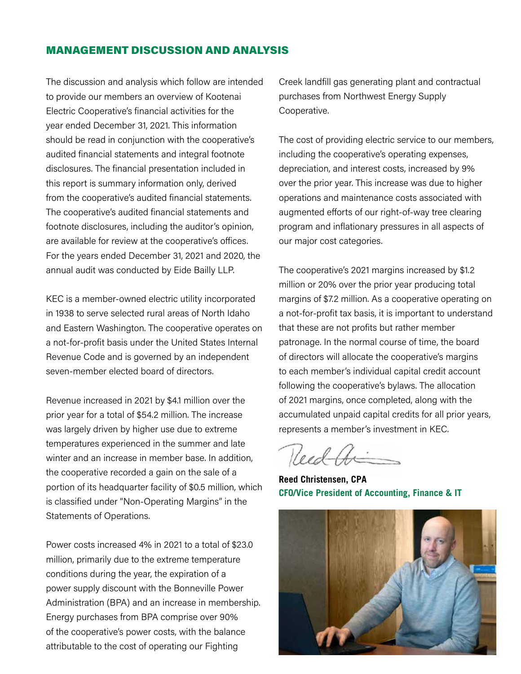## MANAGEMENT DISCUSSION AND ANALYSIS

The discussion and analysis which follow are intended to provide our members an overview of Kootenai Electric Cooperative's financial activities for the year ended December 31, 2021. This information should be read in conjunction with the cooperative's audited financial statements and integral footnote disclosures. The financial presentation included in this report is summary information only, derived from the cooperative's audited financial statements. The cooperative's audited financial statements and footnote disclosures, including the auditor's opinion, are available for review at the cooperative's offices. For the years ended December 31, 2021 and 2020, the annual audit was conducted by Eide Bailly LLP.

KEC is a member-owned electric utility incorporated in 1938 to serve selected rural areas of North Idaho and Eastern Washington. The cooperative operates on a not-for-profit basis under the United States Internal Revenue Code and is governed by an independent seven-member elected board of directors.

Revenue increased in 2021 by \$4.1 million over the prior year for a total of \$54.2 million. The increase was largely driven by higher use due to extreme temperatures experienced in the summer and late winter and an increase in member base. In addition, the cooperative recorded a gain on the sale of a portion of its headquarter facility of \$0.5 million, which is classified under "Non-Operating Margins" in the Statements of Operations.

Power costs increased 4% in 2021 to a total of \$23.0 million, primarily due to the extreme temperature conditions during the year, the expiration of a power supply discount with the Bonneville Power Administration (BPA) and an increase in membership. Energy purchases from BPA comprise over 90% of the cooperative's power costs, with the balance attributable to the cost of operating our Fighting

Creek landfill gas generating plant and contractual purchases from Northwest Energy Supply Cooperative.

The cost of providing electric service to our members, including the cooperative's operating expenses, depreciation, and interest costs, increased by 9% over the prior year. This increase was due to higher operations and maintenance costs associated with augmented efforts of our right-of-way tree clearing program and inflationary pressures in all aspects of our major cost categories.

The cooperative's 2021 margins increased by \$1.2 million or 20% over the prior year producing total margins of \$7.2 million. As a cooperative operating on a not-for-profit tax basis, it is important to understand that these are not profits but rather member patronage. In the normal course of time, the board of directors will allocate the cooperative's margins to each member's individual capital credit account following the cooperative's bylaws. The allocation of 2021 margins, once completed, along with the accumulated unpaid capital credits for all prior years, represents a member's investment in KEC.

Reed the

**Reed Christensen, CPA CFO/Vice President of Accounting, Finance & IT**

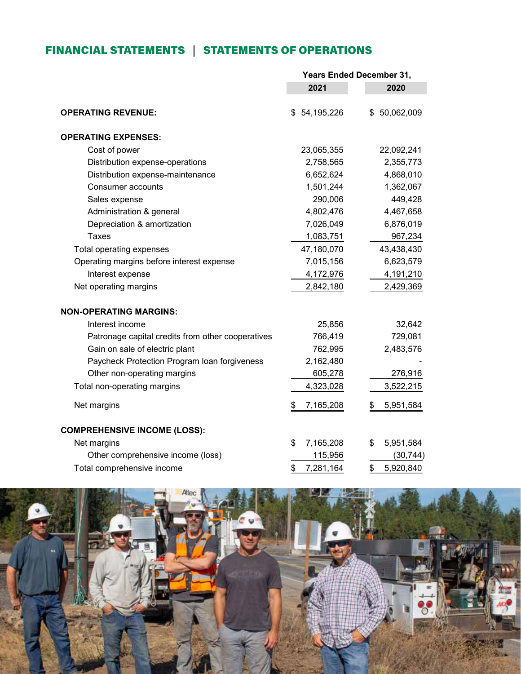# FINANCIAL STATEMENTS | STATEMENTS OF OPERATIONS

|                                                   | <b>Years Ended December 31,</b> |                 |
|---------------------------------------------------|---------------------------------|-----------------|
|                                                   | 2021                            | 2020            |
| <b>OPERATING REVENUE:</b>                         | \$54,195,226                    | \$50,062,009    |
| <b>OPERATING EXPENSES:</b>                        |                                 |                 |
| Cost of power                                     | 23,065,355                      | 22,092,241      |
| Distribution expense-operations                   | 2,758,565                       | 2,355,773       |
| Distribution expense-maintenance                  | 6,652,624                       | 4,868,010       |
| Consumer accounts                                 | 1,501,244                       | 1,362,067       |
| Sales expense                                     | 290,006                         | 449,428         |
| Administration & general                          | 4,802,476                       | 4,467,658       |
| Depreciation & amortization                       | 7,026,049                       | 6,876,019       |
| <b>Taxes</b>                                      | 1,083,751                       | 967,234         |
| Total operating expenses                          | 47,180,070                      | 43,438,430      |
| Operating margins before interest expense         | 7,015,156                       | 6,623,579       |
| Interest expense                                  | 4,172,976                       | 4,191,210       |
| Net operating margins                             | 2,842,180                       | 2,429,369       |
| <b>NON-OPERATING MARGINS:</b>                     |                                 |                 |
| Interest income                                   | 25,856                          | 32,642          |
| Patronage capital credits from other cooperatives | 766,419                         | 729,081         |
| Gain on sale of electric plant                    | 762,995                         | 2,483,576       |
| Paycheck Protection Program loan forgiveness      | 2,162,480                       |                 |
| Other non-operating margins                       | 605,278                         | 276,916         |
| Total non-operating margins                       | 4,323,028                       | 3,522,215       |
| Net margins                                       | 7,165,208<br>\$                 | 5,951,584<br>\$ |
| <b>COMPREHENSIVE INCOME (LOSS):</b>               |                                 |                 |
| Net margins                                       | \$<br>7,165,208                 | 5,951,584<br>\$ |
| Other comprehensive income (loss)                 | 115,956                         | (30, 744)       |
| Total comprehensive income                        | \$<br>7,281,164                 | \$<br>5,920,840 |

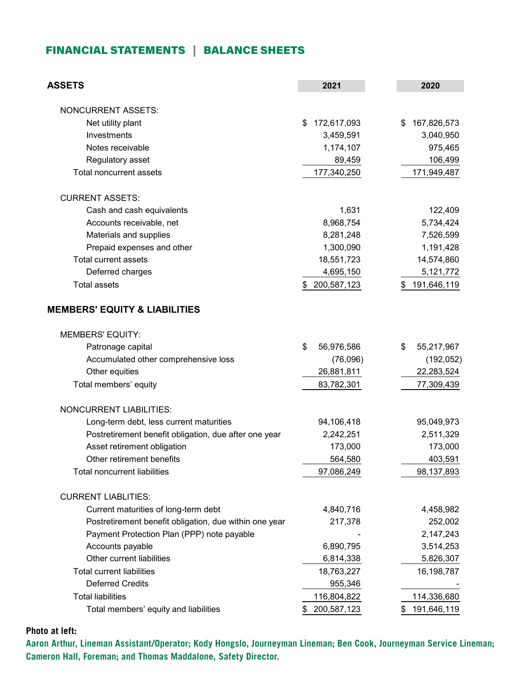#### FINANCIAL STATEMENTS | BALANCE SHEETS Financial Statements - Balance Sheets

| <b>ASSETS</b>                                          | 2021              | 2020              |
|--------------------------------------------------------|-------------------|-------------------|
| <b>NONCURRENT ASSETS:</b>                              |                   |                   |
| Net utility plant                                      | 172,617,093<br>\$ | 167,826,573<br>\$ |
| Investments                                            | 3,459,591         | 3,040,950         |
| Notes receivable                                       | 1,174,107         | 975,465           |
| Regulatory asset                                       | 89,459            | 106,499           |
| <b>Total noncurrent assets</b>                         | 177,340,250       | 171,949,487       |
|                                                        |                   |                   |
| <b>CURRENT ASSETS:</b>                                 |                   |                   |
| Cash and cash equivalents                              | 1,631             | 122,409           |
| Accounts receivable, net                               | 8,968,754         | 5,734,424         |
| Materials and supplies                                 | 8,281,248         | 7,526,599         |
| Prepaid expenses and other                             | 1,300,090         | 1,191,428         |
| <b>Total current assets</b>                            | 18,551,723        | 14,574,860        |
| Deferred charges                                       | 4,695,150         | 5,121,772         |
| <b>Total assets</b>                                    | 200,587,123<br>S  | 191,646,119<br>\$ |
| <b>MEMBERS' EQUITY &amp; LIABILITIES</b>               |                   |                   |
| <b>MEMBERS' EQUITY:</b>                                |                   |                   |
| Patronage capital                                      | \$<br>56,976,586  | \$<br>55,217,967  |
| Accumulated other comprehensive loss                   | (76,096)          | (192, 052)        |
| Other equities                                         | 26,881,811        | 22,283,524        |
| Total members' equity                                  | 83,782,301        | 77,309,439        |
| <b>NONCURRENT LIABILITIES:</b>                         |                   |                   |
| Long-term debt, less current maturities                | 94,106,418        | 95,049,973        |
| Postretirement benefit obligation, due after one year  | 2,242,251         | 2,511,329         |
| Asset retirement obligation                            | 173,000           | 173,000           |
| Other retirement benefits                              | 564,580           | 403,591           |
| <b>Total noncurrent liabilities</b>                    | 97,086,249        | 98,137,893        |
|                                                        |                   |                   |
| <b>CURRENT LIABLITIES:</b>                             |                   |                   |
| Current maturities of long-term debt                   | 4,840,716         | 4,458,982         |
| Postretirement benefit obligation, due within one year | 217,378           | 252,002           |
| Payment Protection Plan (PPP) note payable             |                   | 2,147,243         |
| Accounts payable                                       | 6,890,795         | 3,514,253         |
| Other current liabilities                              | 6,814,338         | 5,826,307         |
| <b>Total current liabilities</b>                       | 18,763,227        | 16,198,787        |
| <b>Deferred Credits</b>                                | 955,346           |                   |
| <b>Total liabilities</b>                               | 116,804,822       | 114,336,680       |
| Total members' equity and liabilities                  | 200,587,123       | 191,646,119       |

**Photo at left:** 

**Aaron Arthur, Lineman Assistant/Operator; Kody Hongslo, Journeyman Lineman; Ben Cook, Journeyman Service Lineman; Cameron Hall, Foreman; and Thomas Maddalone, Safety Director.**